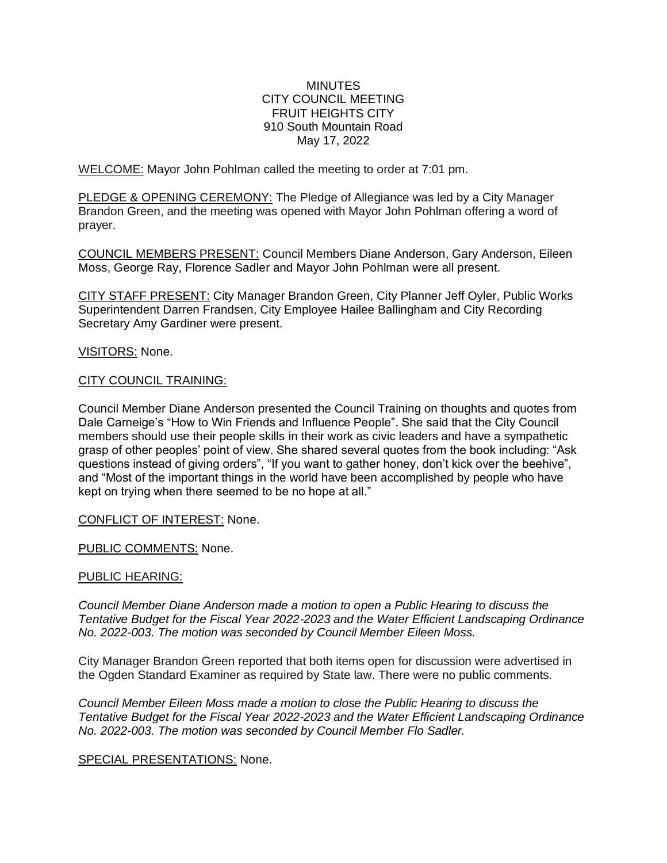## **MINUTES** CITY COUNCIL MEETING FRUIT HEIGHTS CITY 910 South Mountain Road May 17, 2022

WELCOME: Mayor John Pohlman called the meeting to order at 7:01 pm.

PLEDGE & OPENING CEREMONY: The Pledge of Allegiance was led by a City Manager Brandon Green, and the meeting was opened with Mayor John Pohlman offering a word of prayer.

COUNCIL MEMBERS PRESENT: Council Members Diane Anderson, Gary Anderson, Eileen Moss, George Ray, Florence Sadler and Mayor John Pohlman were all present.

CITY STAFF PRESENT: City Manager Brandon Green, City Planner Jeff Oyler, Public Works Superintendent Darren Frandsen, City Employee Hailee Ballingham and City Recording Secretary Amy Gardiner were present.

VISITORS: None.

## CITY COUNCIL TRAINING:

Council Member Diane Anderson presented the Council Training on thoughts and quotes from Dale Carneige's "How to Win Friends and Influence People". She said that the City Council members should use their people skills in their work as civic leaders and have a sympathetic grasp of other peoples' point of view. She shared several quotes from the book including: "Ask questions instead of giving orders", "If you want to gather honey, don't kick over the beehive", and "Most of the important things in the world have been accomplished by people who have kept on trying when there seemed to be no hope at all."

CONFLICT OF INTEREST: None.

PUBLIC COMMENTS: None.

## PUBLIC HEARING:

*Council Member Diane Anderson made a motion to open a Public Hearing to discuss the Tentative Budget for the Fiscal Year 2022-2023 and the Water Efficient Landscaping Ordinance No. 2022-003. The motion was seconded by Council Member Eileen Moss.*

City Manager Brandon Green reported that both items open for discussion were advertised in the Ogden Standard Examiner as required by State law. There were no public comments.

*Council Member Eileen Moss made a motion to close the Public Hearing to discuss the Tentative Budget for the Fiscal Year 2022-2023 and the Water Efficient Landscaping Ordinance No. 2022-003. The motion was seconded by Council Member Flo Sadler.*

## SPECIAL PRESENTATIONS: None.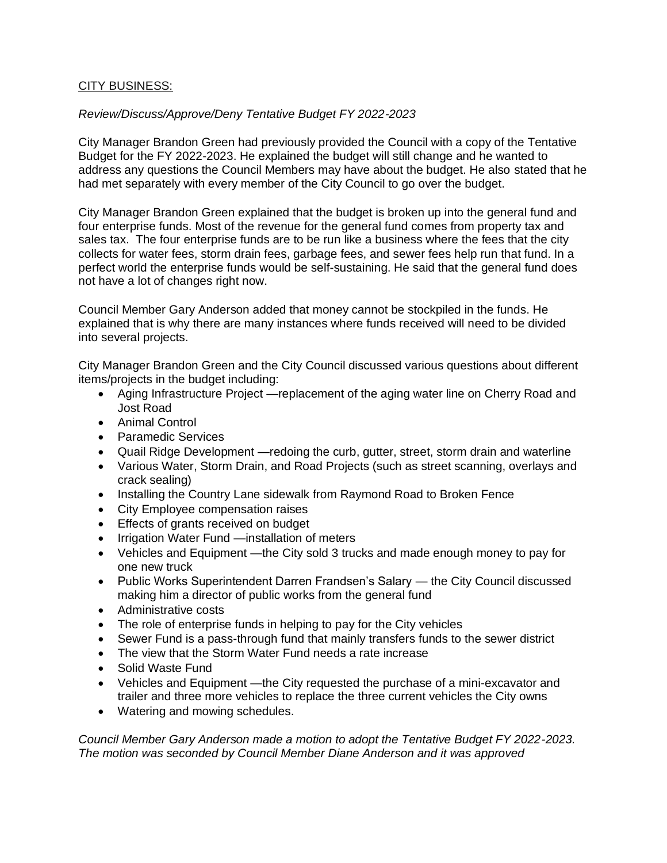# CITY BUSINESS:

# *Review/Discuss/Approve/Deny Tentative Budget FY 2022-2023*

City Manager Brandon Green had previously provided the Council with a copy of the Tentative Budget for the FY 2022-2023. He explained the budget will still change and he wanted to address any questions the Council Members may have about the budget. He also stated that he had met separately with every member of the City Council to go over the budget.

City Manager Brandon Green explained that the budget is broken up into the general fund and four enterprise funds. Most of the revenue for the general fund comes from property tax and sales tax. The four enterprise funds are to be run like a business where the fees that the city collects for water fees, storm drain fees, garbage fees, and sewer fees help run that fund. In a perfect world the enterprise funds would be self-sustaining. He said that the general fund does not have a lot of changes right now.

Council Member Gary Anderson added that money cannot be stockpiled in the funds. He explained that is why there are many instances where funds received will need to be divided into several projects.

City Manager Brandon Green and the City Council discussed various questions about different items/projects in the budget including:

- Aging Infrastructure Project —replacement of the aging water line on Cherry Road and Jost Road
- Animal Control
- Paramedic Services
- Quail Ridge Development —redoing the curb, gutter, street, storm drain and waterline
- Various Water, Storm Drain, and Road Projects (such as street scanning, overlays and crack sealing)
- Installing the Country Lane sidewalk from Raymond Road to Broken Fence
- City Employee compensation raises
- Effects of grants received on budget
- Irrigation Water Fund —installation of meters
- Vehicles and Equipment —the City sold 3 trucks and made enough money to pay for one new truck
- Public Works Superintendent Darren Frandsen's Salary the City Council discussed making him a director of public works from the general fund
- Administrative costs
- The role of enterprise funds in helping to pay for the City vehicles
- Sewer Fund is a pass-through fund that mainly transfers funds to the sewer district
- The view that the Storm Water Fund needs a rate increase
- Solid Waste Fund
- Vehicles and Equipment —the City requested the purchase of a mini-excavator and trailer and three more vehicles to replace the three current vehicles the City owns
- Watering and mowing schedules.

*Council Member Gary Anderson made a motion to adopt the Tentative Budget FY 2022-2023. The motion was seconded by Council Member Diane Anderson and it was approved*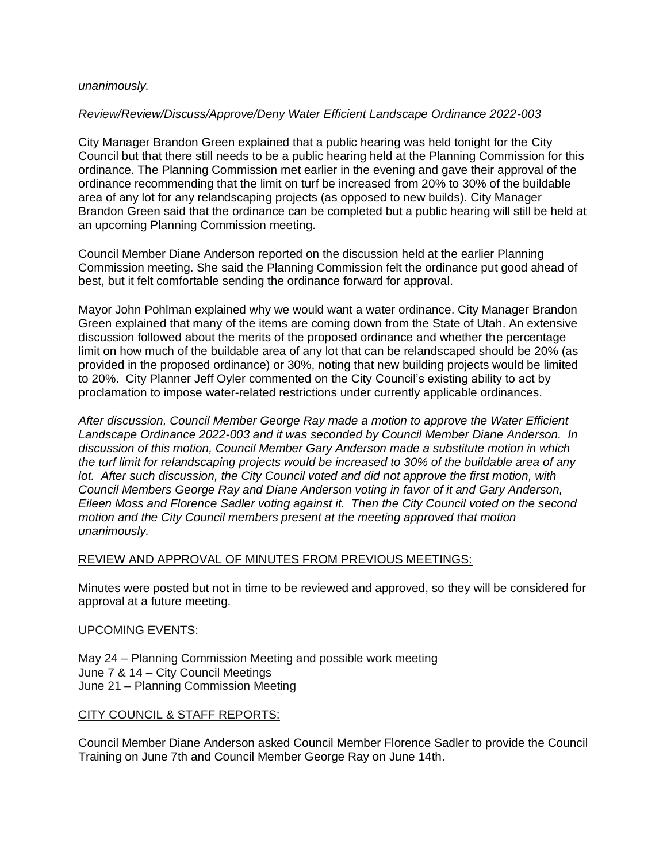#### *unanimously.*

## *Review/Review/Discuss/Approve/Deny Water Efficient Landscape Ordinance 2022-003*

City Manager Brandon Green explained that a public hearing was held tonight for the City Council but that there still needs to be a public hearing held at the Planning Commission for this ordinance. The Planning Commission met earlier in the evening and gave their approval of the ordinance recommending that the limit on turf be increased from 20% to 30% of the buildable area of any lot for any relandscaping projects (as opposed to new builds). City Manager Brandon Green said that the ordinance can be completed but a public hearing will still be held at an upcoming Planning Commission meeting.

Council Member Diane Anderson reported on the discussion held at the earlier Planning Commission meeting. She said the Planning Commission felt the ordinance put good ahead of best, but it felt comfortable sending the ordinance forward for approval.

Mayor John Pohlman explained why we would want a water ordinance. City Manager Brandon Green explained that many of the items are coming down from the State of Utah. An extensive discussion followed about the merits of the proposed ordinance and whether the percentage limit on how much of the buildable area of any lot that can be relandscaped should be 20% (as provided in the proposed ordinance) or 30%, noting that new building projects would be limited to 20%. City Planner Jeff Oyler commented on the City Council's existing ability to act by proclamation to impose water-related restrictions under currently applicable ordinances.

*After discussion, Council Member George Ray made a motion to approve the Water Efficient Landscape Ordinance 2022-003 and it was seconded by Council Member Diane Anderson. In discussion of this motion, Council Member Gary Anderson made a substitute motion in which the turf limit for relandscaping projects would be increased to 30% of the buildable area of any lot. After such discussion, the City Council voted and did not approve the first motion, with Council Members George Ray and Diane Anderson voting in favor of it and Gary Anderson, Eileen Moss and Florence Sadler voting against it. Then the City Council voted on the second motion and the City Council members present at the meeting approved that motion unanimously.* 

## REVIEW AND APPROVAL OF MINUTES FROM PREVIOUS MEETINGS:

Minutes were posted but not in time to be reviewed and approved, so they will be considered for approval at a future meeting.

## UPCOMING EVENTS:

May 24 – Planning Commission Meeting and possible work meeting June 7 & 14 – City Council Meetings June 21 – Planning Commission Meeting

## CITY COUNCIL & STAFF REPORTS:

Council Member Diane Anderson asked Council Member Florence Sadler to provide the Council Training on June 7th and Council Member George Ray on June 14th.